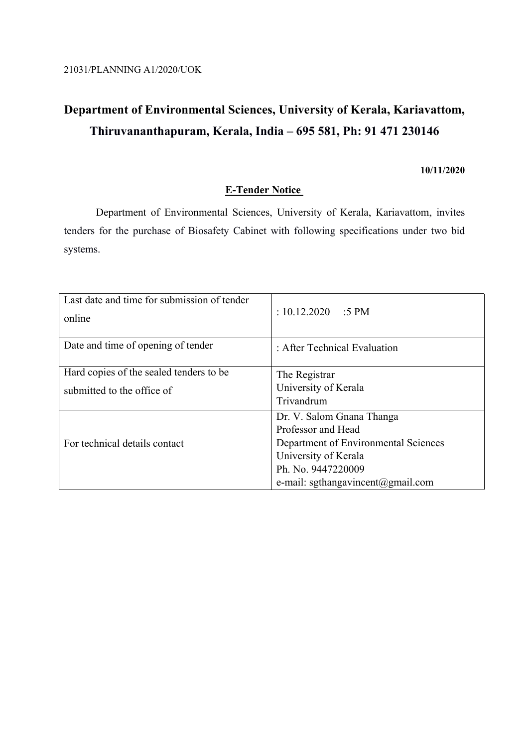# **Department of Environmental Sciences, University of Kerala, Kariavattom, Thiruvananthapuram, Kerala, India – 695 581, Ph: 91 471 230146**

### **10/11/2020**

## **E-Tender Notice**

Department of Environmental Sciences, University of Kerala, Kariavattom, invites tenders for the purchase of Biosafety Cabinet with following specifications under two bid systems.

| Last date and time for submission of tender<br>online | $: 10.12.2020$ :5 PM                 |
|-------------------------------------------------------|--------------------------------------|
| Date and time of opening of tender                    | : After Technical Evaluation         |
| Hard copies of the sealed tenders to be.              | The Registrar                        |
| submitted to the office of                            | University of Kerala                 |
|                                                       | Trivandrum                           |
|                                                       | Dr. V. Salom Gnana Thanga            |
|                                                       | Professor and Head                   |
| For technical details contact                         | Department of Environmental Sciences |
|                                                       | University of Kerala                 |
|                                                       | Ph. No. 9447220009                   |
|                                                       | e-mail: sgthangavincent@gmail.com    |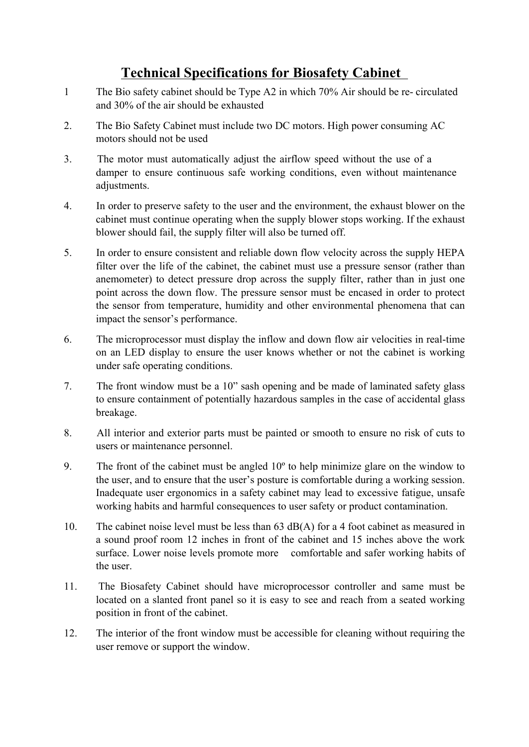## **Technical Specifications for Biosafety Cabinet**

- 1 The Bio safety cabinet should be Type A2 in which 70% Air should be re- circulated and 30% of the air should be exhausted
- 2. The Bio Safety Cabinet must include two DC motors. High power consuming AC motors should not be used
- 3. The motor must automatically adjust the airflow speed without the use of a damper to ensure continuous safe working conditions, even without maintenance adjustments.
- 4. In order to preserve safety to the user and the environment, the exhaust blower on the cabinet must continue operating when the supply blower stops working. If the exhaust blower should fail, the supply filter will also be turned off.
- 5. In order to ensure consistent and reliable down flow velocity across the supply HEPA filter over the life of the cabinet, the cabinet must use a pressure sensor (rather than anemometer) to detect pressure drop across the supply filter, rather than in just one point across the down flow. The pressure sensor must be encased in order to protect the sensor from temperature, humidity and other environmental phenomena that can impact the sensor's performance.
- 6. The microprocessor must display the inflow and down flow air velocities in real-time on an LED display to ensure the user knows whether or not the cabinet is working under safe operating conditions.
- 7. The front window must be a 10" sash opening and be made of laminated safety glass to ensure containment of potentially hazardous samples in the case of accidental glass breakage.
- 8. All interior and exterior parts must be painted or smooth to ensure no risk of cuts to users or maintenance personnel.
- 9. The front of the cabinet must be angled 10º to help minimize glare on the window to the user, and to ensure that the user's posture is comfortable during a working session. Inadequate user ergonomics in a safety cabinet may lead to excessive fatigue, unsafe working habits and harmful consequences to user safety or product contamination.
- 10. The cabinet noise level must be less than 63 dB(A) for a 4 foot cabinet as measured in a sound proof room 12 inches in front of the cabinet and 15 inches above the work surface. Lower noise levels promote more comfortable and safer working habits of the user.
- 11. The Biosafety Cabinet should have microprocessor controller and same must be located on a slanted front panel so it is easy to see and reach from a seated working position in front of the cabinet.
- 12. The interior of the front window must be accessible for cleaning without requiring the user remove or support the window.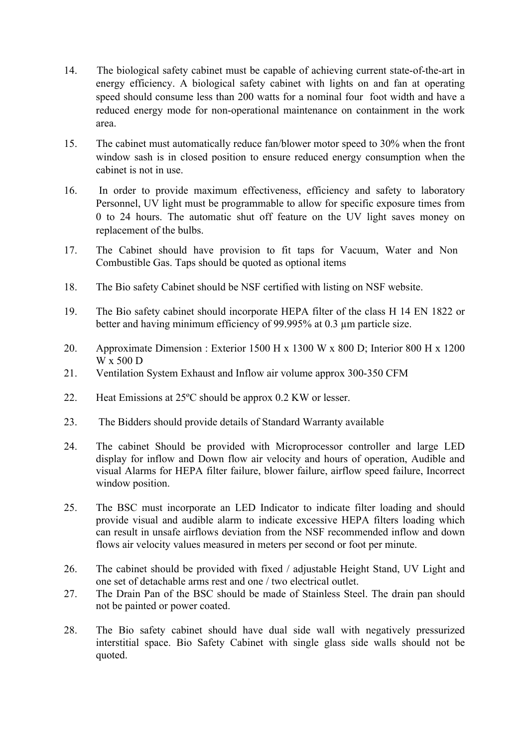- 14. The biological safety cabinet must be capable of achieving current state-of-the-art in energy efficiency. A biological safety cabinet with lights on and fan at operating speed should consume less than 200 watts for a nominal four foot width and have a reduced energy mode for non-operational maintenance on containment in the work area.
- 15. The cabinet must automatically reduce fan/blower motor speed to 30% when the front window sash is in closed position to ensure reduced energy consumption when the cabinet is not in use.
- 16. In order to provide maximum effectiveness, efficiency and safety to laboratory Personnel, UV light must be programmable to allow for specific exposure times from 0 to 24 hours. The automatic shut off feature on the UV light saves money on replacement of the bulbs.
- 17. The Cabinet should have provision to fit taps for Vacuum, Water and Non Combustible Gas. Taps should be quoted as optional items
- 18. The Bio safety Cabinet should be NSF certified with listing on NSF website.
- 19. The Bio safety cabinet should incorporate HEPA filter of the class H 14 EN 1822 or better and having minimum efficiency of 99.995% at 0.3 µm particle size.
- 20. Approximate Dimension : Exterior 1500 H x 1300 W x 800 D; Interior 800 H x 1200 W x 500 D
- 21. Ventilation System Exhaust and Inflow air volume approx 300-350 CFM
- 22. Heat Emissions at 25ºC should be approx 0.2 KW or lesser.
- 23. The Bidders should provide details of Standard Warranty available
- 24. The cabinet Should be provided with Microprocessor controller and large LED display for inflow and Down flow air velocity and hours of operation, Audible and visual Alarms for HEPA filter failure, blower failure, airflow speed failure, Incorrect window position.
- 25. The BSC must incorporate an LED Indicator to indicate filter loading and should provide visual and audible alarm to indicate excessive HEPA filters loading which can result in unsafe airflows deviation from the NSF recommended inflow and down flows air velocity values measured in meters per second or foot per minute.
- 26. The cabinet should be provided with fixed / adjustable Height Stand, UV Light and one set of detachable arms rest and one / two electrical outlet.
- 27. The Drain Pan of the BSC should be made of Stainless Steel. The drain pan should not be painted or power coated.
- 28. The Bio safety cabinet should have dual side wall with negatively pressurized interstitial space. Bio Safety Cabinet with single glass side walls should not be quoted.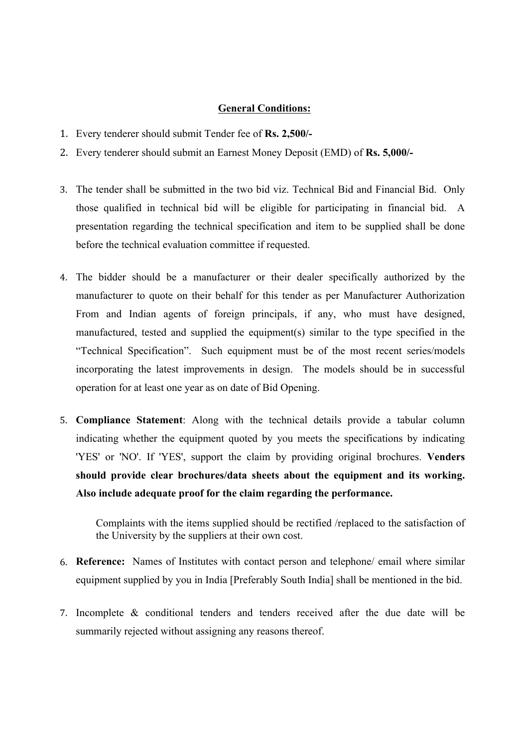#### **General Conditions:**

- 1. Every tenderer should submit Tender fee of **Rs. 2,500/-**
- 2. Every tenderer should submit an Earnest Money Deposit (EMD) of **Rs. 5,000/-**
- 3. The tender shall be submitted in the two bid viz. Technical Bid and Financial Bid. Only those qualified in technical bid will be eligible for participating in financial bid. A presentation regarding the technical specification and item to be supplied shall be done before the technical evaluation committee if requested.
- 4. The bidder should be a manufacturer or their dealer specifically authorized by the manufacturer to quote on their behalf for this tender as per Manufacturer Authorization From and Indian agents of foreign principals, if any, who must have designed, manufactured, tested and supplied the equipment(s) similar to the type specified in the "Technical Specification". Such equipment must be of the most recent series/models incorporating the latest improvements in design. The models should be in successful operation for at least one year as on date of Bid Opening.
- 5. **Compliance Statement**: Along with the technical details provide a tabular column indicating whether the equipment quoted by you meets the specifications by indicating 'YES' or 'NO'. If 'YES', support the claim by providing original brochures. **Venders should provide clear brochures/data sheets about the equipment and its working. Also include adequate proof for the claim regarding the performance.**

Complaints with the items supplied should be rectified /replaced to the satisfaction of the University by the suppliers at their own cost.

- 6. **Reference:** Names of Institutes with contact person and telephone/ email where similar equipment supplied by you in India [Preferably South India] shall be mentioned in the bid.
- 7. Incomplete & conditional tenders and tenders received after the due date will be summarily rejected without assigning any reasons thereof.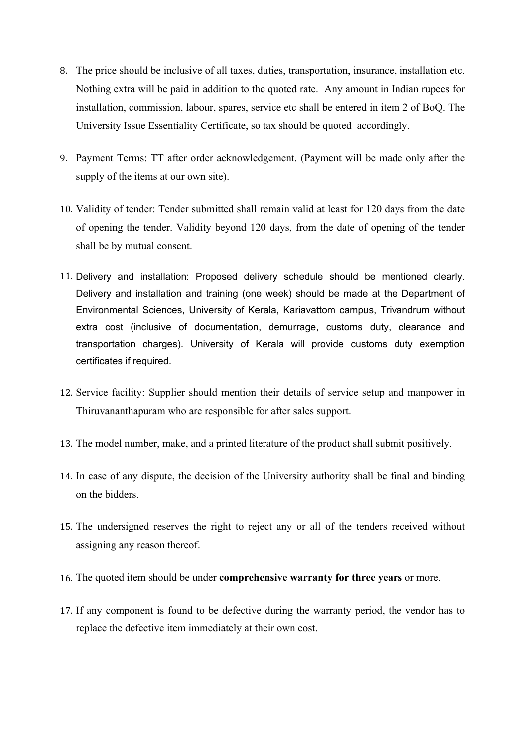- 8. The price should be inclusive of all taxes, duties, transportation, insurance, installation etc. Nothing extra will be paid in addition to the quoted rate. Any amount in Indian rupees for installation, commission, labour, spares, service etc shall be entered in item 2 of BoQ. The University Issue Essentiality Certificate, so tax should be quoted accordingly.
- 9. Payment Terms: TT after order acknowledgement. (Payment will be made only after the supply of the items at our own site).
- 10. Validity of tender: Tender submitted shall remain valid at least for 120 days from the date of opening the tender. Validity beyond 120 days, from the date of opening of the tender shall be by mutual consent.
- 11. Delivery and installation: Proposed delivery schedule should be mentioned clearly. Delivery and installation and training (one week) should be made at the Department of Environmental Sciences, University of Kerala, Kariavattom campus, Trivandrum without extra cost (inclusive of documentation, demurrage, customs duty, clearance and transportation charges). University of Kerala will provide customs duty exemption certificates if required.
- 12. Service facility: Supplier should mention their details of service setup and manpower in Thiruvananthapuram who are responsible for after sales support.
- 13. The model number, make, and a printed literature of the product shall submit positively.
- 14. In case of any dispute, the decision of the University authority shall be final and binding on the bidders.
- 15. The undersigned reserves the right to reject any or all of the tenders received without assigning any reason thereof.
- 16. The quoted item should be under **comprehensive warranty for three years** or more.
- 17. If any component is found to be defective during the warranty period, the vendor has to replace the defective item immediately at their own cost.